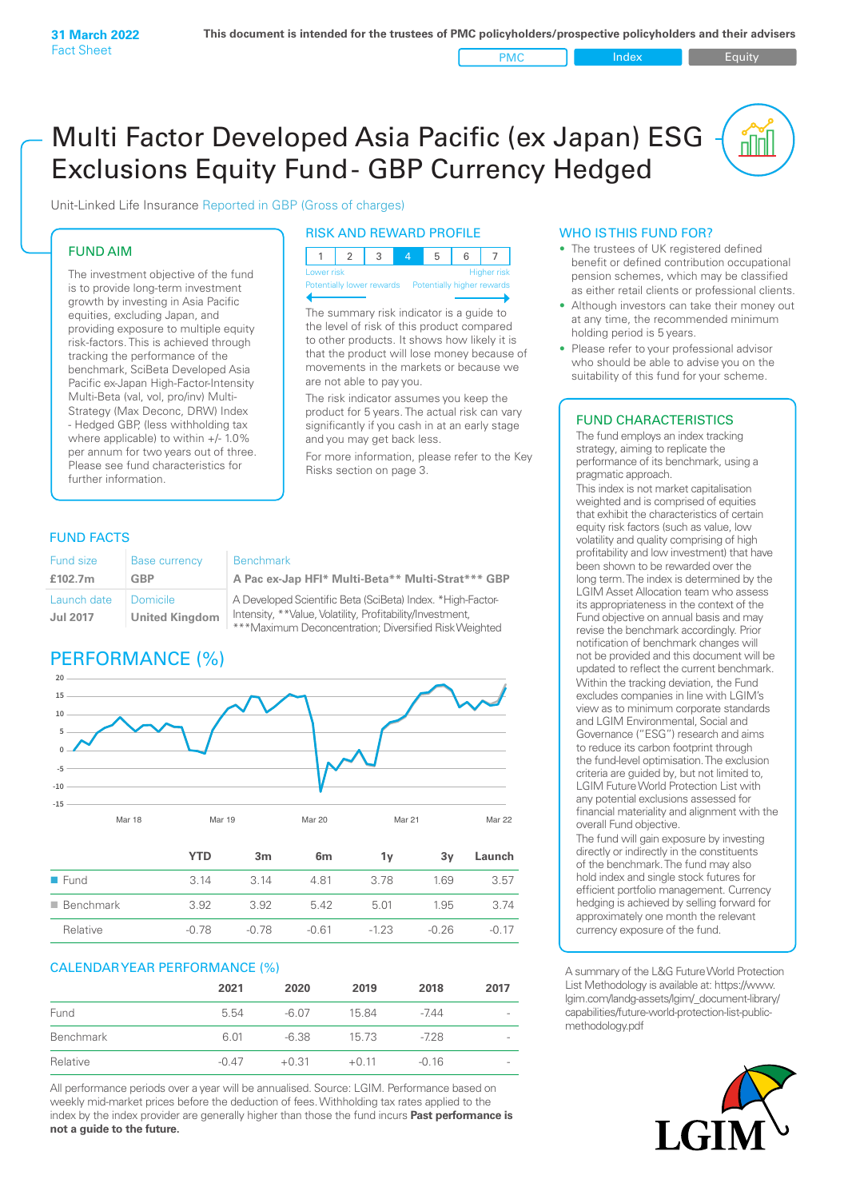PMC Index PMC Equity

<u>nil</u>

# Multi Factor Developed Asia Pacific (ex Japan) ESG Exclusions Equity Fund - GBP Currency Hedged

Unit-Linked Life Insurance Reported in GBP (Gross of charges)

# FUND AIM

The investment objective of the fund is to provide long-term investment growth by investing in Asia Pacific equities, excluding Japan, and providing exposure to multiple equity risk-factors. This is achieved through tracking the performance of the benchmark, SciBeta Developed Asia Pacific ex-Japan High-Factor-Intensity Multi-Beta (val, vol, pro/inv) Multi-Strategy (Max Deconc, DRW) Index - Hedged GBP, (less withholding tax where applicable) to within +/- 1.0% per annum for two years out of three. Please see fund characteristics for further information.

# RISK AND REWARD PROFILE

| Lower risk |  |  | <b>Higher risk</b> |
|------------|--|--|--------------------|

ntially lower rewards Potentially higher rewards

The summary risk indicator is a guide to the level of risk of this product compared to other products. It shows how likely it is that the product will lose money because of movements in the markets or because we are not able to pay you.

The risk indicator assumes you keep the product for 5 years. The actual risk can vary significantly if you cash in at an early stage and you may get back less.

For more information, please refer to the Key Risks section on page 3.

# FUND FACTS

| Fund size                      | <b>Base currency</b>                     | <b>Benchmark</b>                                                                                                                                                                 |
|--------------------------------|------------------------------------------|----------------------------------------------------------------------------------------------------------------------------------------------------------------------------------|
| £102.7m                        | GBP                                      | A Pac ex-Jap HFI* Multi-Beta** Multi-Strat*** GBP                                                                                                                                |
| Launch date<br><b>Jul 2017</b> | <b>Domicile</b><br><b>United Kingdom</b> | A Developed Scientific Beta (SciBeta) Index. *High-Factor-<br>Intensity, **Value, Volatility, Profitability/Investment,<br>***Maximum Deconcentration; Diversified Risk Weighted |

# PERFORMANCE (%)



| - Funa                   | 41 . ن | 41. ت   | 4.01    | 3. / Ö | 1.OY    | 3.D/    |
|--------------------------|--------|---------|---------|--------|---------|---------|
| $\blacksquare$ Benchmark | 3.92   | 3.92    | 5.42    | 5.01   | 1.95    | 3.74    |
| Relative                 | -0.78  | $-0.78$ | $-0.61$ | $-123$ | $-0.26$ | $-0.17$ |
|                          |        |         |         |        |         |         |

# CALENDAR YEAR PERFORMANCE (%)

|           | 2021    | 2020    | 2019    | 2018    | 2017                     |
|-----------|---------|---------|---------|---------|--------------------------|
| Fund      | 5.54    | $-6.07$ | 15.84   | -744    | $\overline{\phantom{a}}$ |
| Benchmark | 6.01    | $-6.38$ | 15 73   | $-728$  | $\overline{\phantom{0}}$ |
| Relative  | $-0.47$ | $+0.31$ | $+0.11$ | $-0.16$ | $\overline{\phantom{a}}$ |

All performance periods over a year will be annualised. Source: LGIM. Performance based on weekly mid-market prices before the deduction of fees. Withholding tax rates applied to the index by the index provider are generally higher than those the fund incurs **Past performance is not a guide to the future.**

### WHO IS THIS FUND FOR?

- The trustees of UK registered defined benefit or defined contribution occupational pension schemes, which may be classified as either retail clients or professional clients.
- Although investors can take their money out at any time, the recommended minimum holding period is 5 years.
- Please refer to your professional advisor who should be able to advise you on the suitability of this fund for your scheme.

# FUND CHARACTERISTICS

The fund employs an index tracking strategy, aiming to replicate the performance of its benchmark, using a pragmatic approach.

This index is not market capitalisation weighted and is comprised of equities that exhibit the characteristics of certain equity risk factors (such as value, low volatility and quality comprising of high profitability and low investment) that have been shown to be rewarded over the long term. The index is determined by the LGIM Asset Allocation team who assess its appropriateness in the context of the Fund objective on annual basis and may revise the benchmark accordingly. Prior notification of benchmark changes will not be provided and this document will be updated to reflect the current benchmark. Within the tracking deviation, the Fund excludes companies in line with LGIM's view as to minimum corporate standards and LGIM Environmental, Social and Governance ("ESG") research and aims to reduce its carbon footprint through the fund-level optimisation. The exclusion criteria are guided by, but not limited to, LGIM Future World Protection List with any potential exclusions assessed for financial materiality and alignment with the overall Fund objective.

The fund will gain exposure by investing directly or indirectly in the constituents of the benchmark. The fund may also hold index and single stock futures for efficient portfolio management. Currency hedging is achieved by selling forward for approximately one month the relevant currency exposure of the fund.

A summary of the L&G Future World Protection List Methodology is available at: https://www. lgim.com/landg-assets/lgim/\_document-library/ capabilities/future-world-protection-list-publicmethodology.pdf

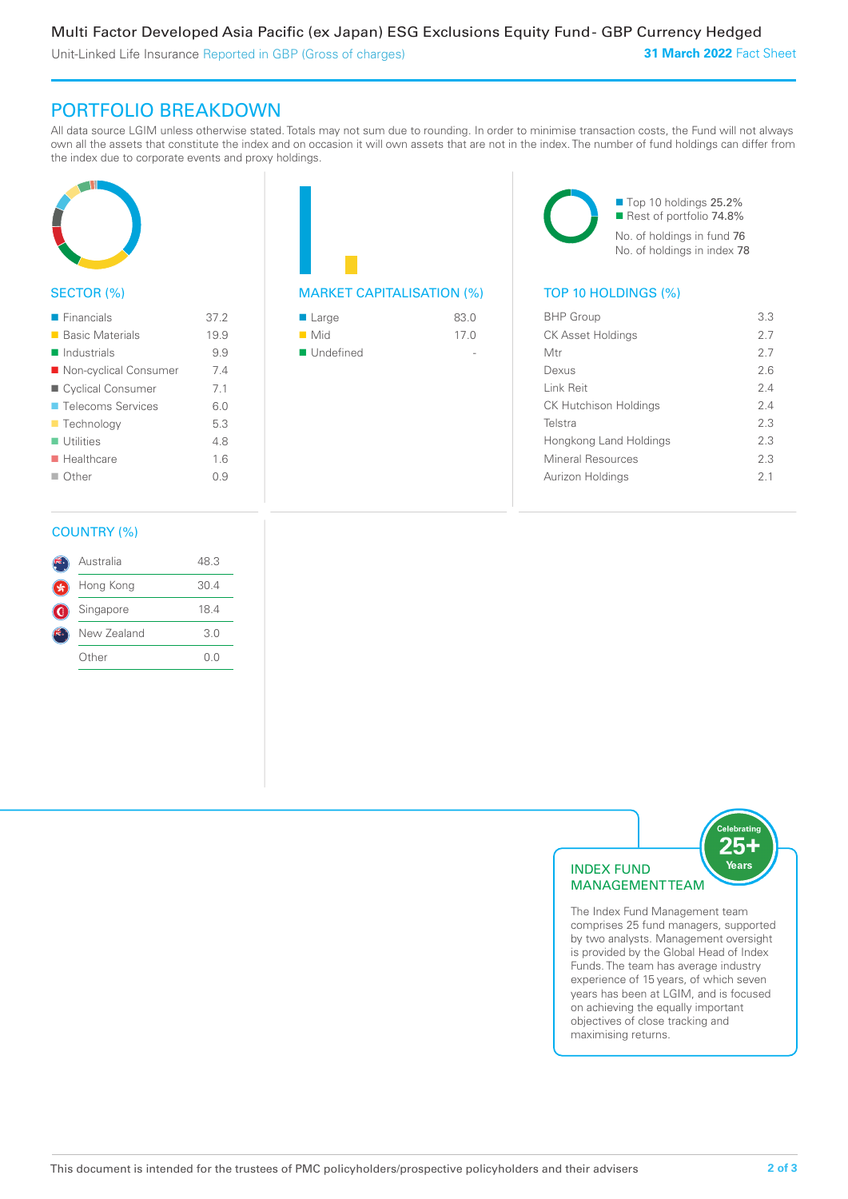PORTFOLIO BREAKDOWN

All data source LGIM unless otherwise stated. Totals may not sum due to rounding. In order to minimise transaction costs, the Fund will not always own all the assets that constitute the index and on occasion it will own assets that are not in the index. The number of fund holdings can differ from the index due to corporate events and proxy holdings.



# SECTOR (%)

| $\blacksquare$ Financials  | 37.2 |
|----------------------------|------|
| ■ Basic Materials          | 19.9 |
| $\blacksquare$ Industrials | 9.9  |
| ■ Non-cyclical Consumer    | 74   |
| ■ Cyclical Consumer        | 7.1  |
| ■ Telecoms Services        | 60   |
| $\blacksquare$ Technology  | 5.3  |
| $\blacksquare$ Utilities   | 4.8  |
| $\blacksquare$ Healthcare  | 16   |
| $\Box$ Other               | O 9  |
|                            |      |

# MARKET CAPITALISATION (%) TOP 10 HOLDINGS (%)

| ■ Large            | 83.0 |
|--------------------|------|
| $\blacksquare$ Mid | 17.0 |
| ■ Undefined        |      |

■ Top 10 holdings 25.2% Rest of portfolio 74.8% No. of holdings in fund 76 No. of holdings in index 78

| <b>BHP Group</b>             | 3.3 |
|------------------------------|-----|
| <b>CK Asset Holdings</b>     | 27  |
| Mtr                          | 27  |
| Dexus                        | 26  |
| Link Reit                    | 2.4 |
| <b>CK Hutchison Holdings</b> | 2.4 |
| Telstra                      | 2.3 |
| Hongkong Land Holdings       | 2.3 |
| Mineral Resources            | 2.3 |
| Aurizon Holdings             | 21  |
|                              |     |

# COUNTRY (%)

|   | Australia   | 48.3 |  |
|---|-------------|------|--|
|   | Hong Kong   | 30.4 |  |
| G | Singapore   | 18.4 |  |
|   | New Zealand | 3.0  |  |
|   | Other       | ()() |  |
|   |             |      |  |



The Index Fund Management team comprises 25 fund managers, supported by two analysts. Management oversight is provided by the Global Head of Index Funds. The team has average industry experience of 15 years, of which seven years has been at LGIM, and is focused on achieving the equally important objectives of close tracking and maximising returns.